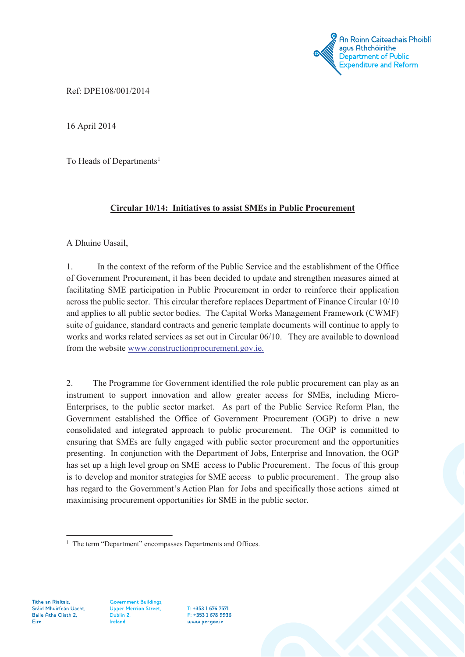<sup>'</sup> An Roinn Caiteachais Phoiblí agus Athchóirithe Department of Public Expenditure and Reform

Ref: DPE108/001/2014

16 April 2014

To Heads of Departments<sup>1</sup>

## **Circular 10/14: Initiatives to assist SMEs in Public Procurement**

A Dhuine Uasail,

1. In the context of the reform of the Public Service and the establishment of the Office of Government Procurement, it has been decided to update and strengthen measures aimed at facilitating SME participation in Public Procurement in order to reinforce their application across the public sector. This circular therefore replaces Department of Finance Circular 10/10 and applies to all public sector bodies. The Capital Works Management Framework (CWMF) suite of guidance, standard contracts and generic template documents will continue to apply to works and works related services as set out in Circular 06/10. They are available to download from the website www.constructionprocurement.gov.ie.

2. The Programme for Government identified the role public procurement can play as an instrument to support innovation and allow greater access for SMEs, including Micro-Enterprises, to the public sector market. As part of the Public Service Reform Plan, the Government established the Office of Government Procurement (OGP) to drive a new consolidated and integrated approach to public procurement. The OGP is committed to ensuring that SMEs are fully engaged with public sector procurement and the opportunities presenting. In conjunction with the Department of Jobs, Enterprise and Innovation, the OGP has set up a high level group on SME access to Public Procurement. The focus of this group is to develop and monitor strategies for SME access to public procurement . The group also has regard to the Government's Action Plan for Jobs and specifically those actions aimed at maximising procurement opportunities for SME in the public sector.

Tithe an Rialtais, Sráid Mhuirfeán Uacht, Baile Átha Cliath 2, Éire.

**Government Buildings, Upper Merrion Street,** Dublin 2, Ireland.

T: +353 1 676 7571 F: +353 1 678 9936 www.per.gov.je

<sup>&</sup>lt;sup>1</sup> The term "Department" encompasses Departments and Offices.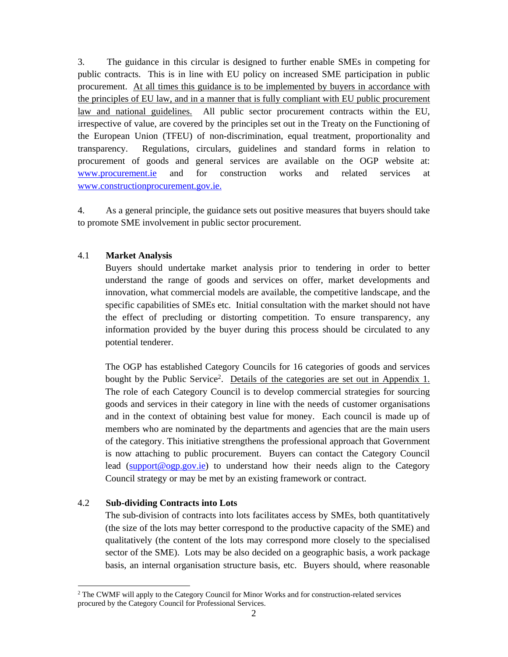3. The guidance in this circular is designed to further enable SMEs in competing for public contracts. This is in line with EU policy on increased SME participation in public procurement. At all times this guidance is to be implemented by buyers in accordance with the principles of EU law, and in a manner that is fully compliant with EU public procurement law and national guidelines. All public sector procurement contracts within the EU, irrespective of value, are covered by the principles set out in the Treaty on the Functioning of the European Union (TFEU) of non-discrimination, equal treatment, proportionality and transparency. Regulations, circulars, guidelines and standard forms in relation to procurement of goods and general services are available on the OGP website at: www.procurement.ie and for construction works and related services at www.constructionprocurement.gov.ie.

4. As a general principle, the guidance sets out positive measures that buyers should take to promote SME involvement in public sector procurement.

### 4.1 **Market Analysis**

Buyers should undertake market analysis prior to tendering in order to better understand the range of goods and services on offer, market developments and innovation, what commercial models are available, the competitive landscape, and the specific capabilities of SMEs etc. Initial consultation with the market should not have the effect of precluding or distorting competition. To ensure transparency, any information provided by the buyer during this process should be circulated to any potential tenderer.

The OGP has established Category Councils for 16 categories of goods and services bought by the Public Service2. Details of the categories are set out in Appendix 1. The role of each Category Council is to develop commercial strategies for sourcing goods and services in their category in line with the needs of customer organisations and in the context of obtaining best value for money. Each council is made up of members who are nominated by the departments and agencies that are the main users of the category. This initiative strengthens the professional approach that Government is now attaching to public procurement. Buyers can contact the Category Council lead (support@ogp.gov.ie) to understand how their needs align to the Category Council strategy or may be met by an existing framework or contract.

### 4.2 **Sub-dividing Contracts into Lots**

-

The sub-division of contracts into lots facilitates access by SMEs, both quantitatively (the size of the lots may better correspond to the productive capacity of the SME) and qualitatively (the content of the lots may correspond more closely to the specialised sector of the SME). Lots may be also decided on a geographic basis, a work package basis, an internal organisation structure basis, etc. Buyers should, where reasonable

<sup>&</sup>lt;sup>2</sup> The CWMF will apply to the Category Council for Minor Works and for construction-related services procured by the Category Council for Professional Services.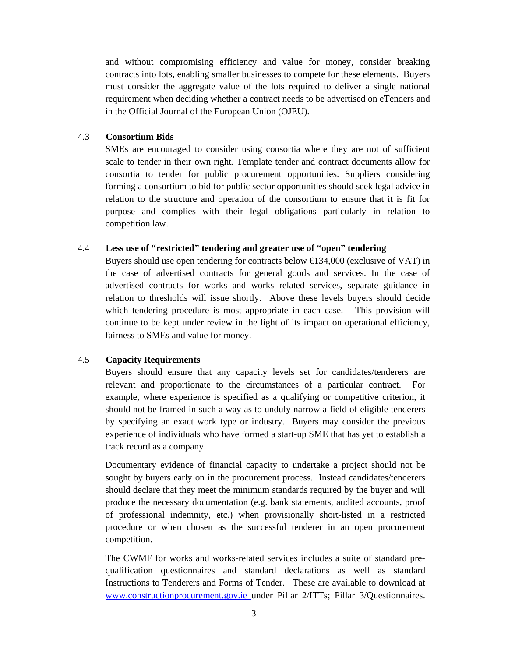and without compromising efficiency and value for money, consider breaking contracts into lots, enabling smaller businesses to compete for these elements. Buyers must consider the aggregate value of the lots required to deliver a single national requirement when deciding whether a contract needs to be advertised on eTenders and in the Official Journal of the European Union (OJEU).

### 4.3 **Consortium Bids**

SMEs are encouraged to consider using consortia where they are not of sufficient scale to tender in their own right. Template tender and contract documents allow for consortia to tender for public procurement opportunities. Suppliers considering forming a consortium to bid for public sector opportunities should seek legal advice in relation to the structure and operation of the consortium to ensure that it is fit for purpose and complies with their legal obligations particularly in relation to competition law.

#### 4.4 **Less use of "restricted" tendering and greater use of "open" tendering**

Buyers should use open tendering for contracts below  $\bigoplus 34,000$  (exclusive of VAT) in the case of advertised contracts for general goods and services. In the case of advertised contracts for works and works related services, separate guidance in relation to thresholds will issue shortly. Above these levels buyers should decide which tendering procedure is most appropriate in each case. This provision will continue to be kept under review in the light of its impact on operational efficiency, fairness to SMEs and value for money.

### 4.5 **Capacity Requirements**

Buyers should ensure that any capacity levels set for candidates/tenderers are relevant and proportionate to the circumstances of a particular contract. For example, where experience is specified as a qualifying or competitive criterion, it should not be framed in such a way as to unduly narrow a field of eligible tenderers by specifying an exact work type or industry. Buyers may consider the previous experience of individuals who have formed a start-up SME that has yet to establish a track record as a company.

Documentary evidence of financial capacity to undertake a project should not be sought by buyers early on in the procurement process. Instead candidates/tenderers should declare that they meet the minimum standards required by the buyer and will produce the necessary documentation (e.g. bank statements, audited accounts, proof of professional indemnity, etc.) when provisionally short-listed in a restricted procedure or when chosen as the successful tenderer in an open procurement competition.

The CWMF for works and works-related services includes a suite of standard prequalification questionnaires and standard declarations as well as standard Instructions to Tenderers and Forms of Tender. These are available to download at www.constructionprocurement.gov.ie under Pillar 2/ITTs; Pillar 3/Questionnaires.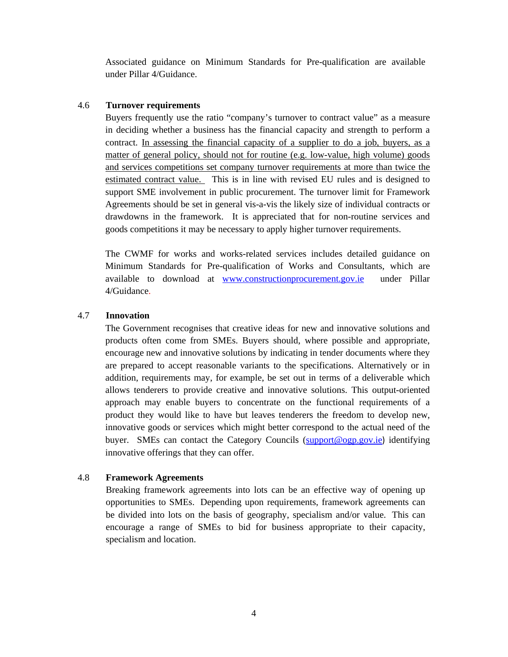Associated guidance on Minimum Standards for Pre-qualification are available under Pillar 4/Guidance.

#### 4.6 **Turnover requirements**

Buyers frequently use the ratio "company's turnover to contract value" as a measure in deciding whether a business has the financial capacity and strength to perform a contract. In assessing the financial capacity of a supplier to do a job, buyers, as a matter of general policy, should not for routine (e.g. low-value, high volume) goods and services competitions set company turnover requirements at more than twice the estimated contract value. This is in line with revised EU rules and is designed to support SME involvement in public procurement. The turnover limit for Framework Agreements should be set in general vis-a-vis the likely size of individual contracts or drawdowns in the framework. It is appreciated that for non-routine services and goods competitions it may be necessary to apply higher turnover requirements.

The CWMF for works and works-related services includes detailed guidance on Minimum Standards for Pre-qualification of Works and Consultants, which are available to download at www.constructionprocurement.gov.ie under Pillar 4/Guidance.

#### 4.7 **Innovation**

The Government recognises that creative ideas for new and innovative solutions and products often come from SMEs. Buyers should, where possible and appropriate, encourage new and innovative solutions by indicating in tender documents where they are prepared to accept reasonable variants to the specifications. Alternatively or in addition, requirements may, for example, be set out in terms of a deliverable which allows tenderers to provide creative and innovative solutions. This output-oriented approach may enable buyers to concentrate on the functional requirements of a product they would like to have but leaves tenderers the freedom to develop new, innovative goods or services which might better correspond to the actual need of the buyer. SMEs can contact the Category Councils (support@ogp.gov.ie) identifying innovative offerings that they can offer.

### 4.8 **Framework Agreements**

Breaking framework agreements into lots can be an effective way of opening up opportunities to SMEs. Depending upon requirements, framework agreements can be divided into lots on the basis of geography, specialism and/or value. This can encourage a range of SMEs to bid for business appropriate to their capacity, specialism and location.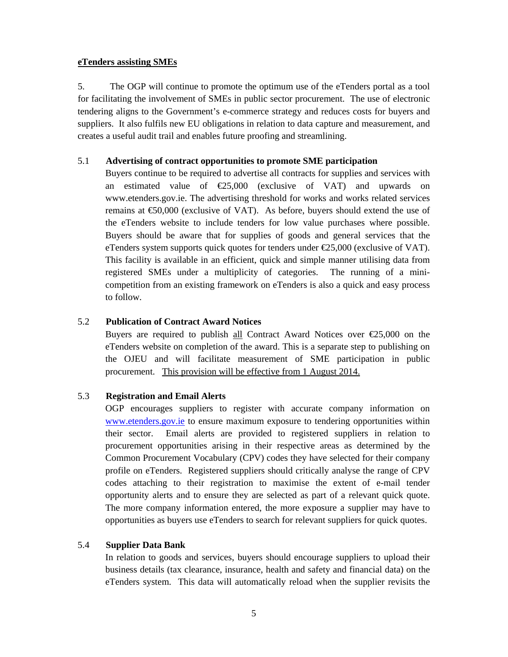#### **eTenders assisting SMEs**

5. The OGP will continue to promote the optimum use of the eTenders portal as a tool for facilitating the involvement of SMEs in public sector procurement. The use of electronic tendering aligns to the Government's e-commerce strategy and reduces costs for buyers and suppliers. It also fulfils new EU obligations in relation to data capture and measurement, and creates a useful audit trail and enables future proofing and streamlining.

#### 5.1 **Advertising of contract opportunities to promote SME participation**

Buyers continue to be required to advertise all contracts for supplies and services with an estimated value of  $E$ 5,000 (exclusive of VAT) and upwards on www.etenders.gov.ie. The advertising threshold for works and works related services remains at  $\text{\textsterling}0,000$  (exclusive of VAT). As before, buyers should extend the use of the eTenders website to include tenders for low value purchases where possible. Buyers should be aware that for supplies of goods and general services that the eTenders system supports quick quotes for tenders under  $\epsilon$ 25,000 (exclusive of VAT). This facility is available in an efficient, quick and simple manner utilising data from registered SMEs under a multiplicity of categories. The running of a minicompetition from an existing framework on eTenders is also a quick and easy process to follow.

### 5.2 **Publication of Contract Award Notices**

Buyers are required to publish all Contract Award Notices over  $\epsilon$ 25,000 on the eTenders website on completion of the award. This is a separate step to publishing on the OJEU and will facilitate measurement of SME participation in public procurement. This provision will be effective from 1 August 2014.

### 5.3 **Registration and Email Alerts**

OGP encourages suppliers to register with accurate company information on www.etenders.gov.ie to ensure maximum exposure to tendering opportunities within their sector. Email alerts are provided to registered suppliers in relation to procurement opportunities arising in their respective areas as determined by the Common Procurement Vocabulary (CPV) codes they have selected for their company profile on eTenders. Registered suppliers should critically analyse the range of CPV codes attaching to their registration to maximise the extent of e-mail tender opportunity alerts and to ensure they are selected as part of a relevant quick quote. The more company information entered, the more exposure a supplier may have to opportunities as buyers use eTenders to search for relevant suppliers for quick quotes.

### 5.4 **Supplier Data Bank**

In relation to goods and services, buyers should encourage suppliers to upload their business details (tax clearance, insurance, health and safety and financial data) on the eTenders system. This data will automatically reload when the supplier revisits the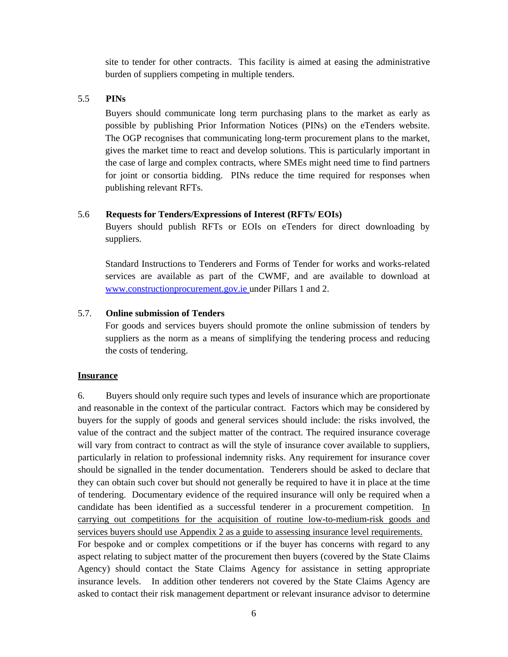site to tender for other contracts. This facility is aimed at easing the administrative burden of suppliers competing in multiple tenders.

#### 5.5 **PINs**

Buyers should communicate long term purchasing plans to the market as early as possible by publishing Prior Information Notices (PINs) on the eTenders website. The OGP recognises that communicating long-term procurement plans to the market, gives the market time to react and develop solutions. This is particularly important in the case of large and complex contracts, where SMEs might need time to find partners for joint or consortia bidding. PINs reduce the time required for responses when publishing relevant RFTs.

#### 5.6 **Requests for Tenders/Expressions of Interest (RFTs/ EOIs)**

Buyers should publish RFTs or EOIs on eTenders for direct downloading by suppliers.

Standard Instructions to Tenderers and Forms of Tender for works and works-related services are available as part of the CWMF, and are available to download at www.constructionprocurement.gov.ie under Pillars 1 and 2.

#### 5.7. **Online submission of Tenders**

For goods and services buyers should promote the online submission of tenders by suppliers as the norm as a means of simplifying the tendering process and reducing the costs of tendering.

#### **Insurance**

6. Buyers should only require such types and levels of insurance which are proportionate and reasonable in the context of the particular contract. Factors which may be considered by buyers for the supply of goods and general services should include: the risks involved, the value of the contract and the subject matter of the contract. The required insurance coverage will vary from contract to contract as will the style of insurance cover available to suppliers, particularly in relation to professional indemnity risks. Any requirement for insurance cover should be signalled in the tender documentation. Tenderers should be asked to declare that they can obtain such cover but should not generally be required to have it in place at the time of tendering. Documentary evidence of the required insurance will only be required when a candidate has been identified as a successful tenderer in a procurement competition. In carrying out competitions for the acquisition of routine low-to-medium-risk goods and services buyers should use Appendix 2 as a guide to assessing insurance level requirements.

For bespoke and or complex competitions or if the buyer has concerns with regard to any aspect relating to subject matter of the procurement then buyers (covered by the State Claims Agency) should contact the State Claims Agency for assistance in setting appropriate insurance levels. In addition other tenderers not covered by the State Claims Agency are asked to contact their risk management department or relevant insurance advisor to determine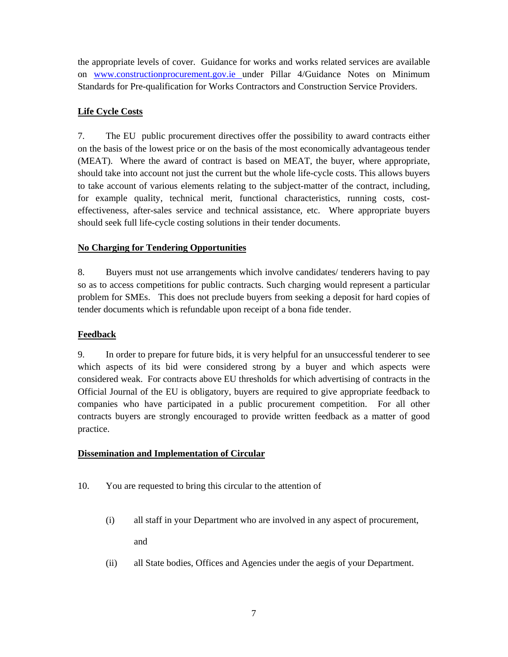the appropriate levels of cover. Guidance for works and works related services are available on www.constructionprocurement.gov.ie under Pillar 4/Guidance Notes on Minimum Standards for Pre-qualification for Works Contractors and Construction Service Providers.

## **Life Cycle Costs**

7. The EU public procurement directives offer the possibility to award contracts either on the basis of the lowest price or on the basis of the most economically advantageous tender (MEAT). Where the award of contract is based on MEAT, the buyer, where appropriate, should take into account not just the current but the whole life-cycle costs. This allows buyers to take account of various elements relating to the subject-matter of the contract, including, for example quality, technical merit, functional characteristics, running costs, costeffectiveness, after-sales service and technical assistance, etc. Where appropriate buyers should seek full life-cycle costing solutions in their tender documents.

### **No Charging for Tendering Opportunities**

8. Buyers must not use arrangements which involve candidates/ tenderers having to pay so as to access competitions for public contracts. Such charging would represent a particular problem for SMEs. This does not preclude buyers from seeking a deposit for hard copies of tender documents which is refundable upon receipt of a bona fide tender.

### **Feedback**

9. In order to prepare for future bids, it is very helpful for an unsuccessful tenderer to see which aspects of its bid were considered strong by a buyer and which aspects were considered weak. For contracts above EU thresholds for which advertising of contracts in the Official Journal of the EU is obligatory, buyers are required to give appropriate feedback to companies who have participated in a public procurement competition. For all other contracts buyers are strongly encouraged to provide written feedback as a matter of good practice.

### **Dissemination and Implementation of Circular**

- 10. You are requested to bring this circular to the attention of
	- (i) all staff in your Department who are involved in any aspect of procurement, and
	- (ii) all State bodies, Offices and Agencies under the aegis of your Department.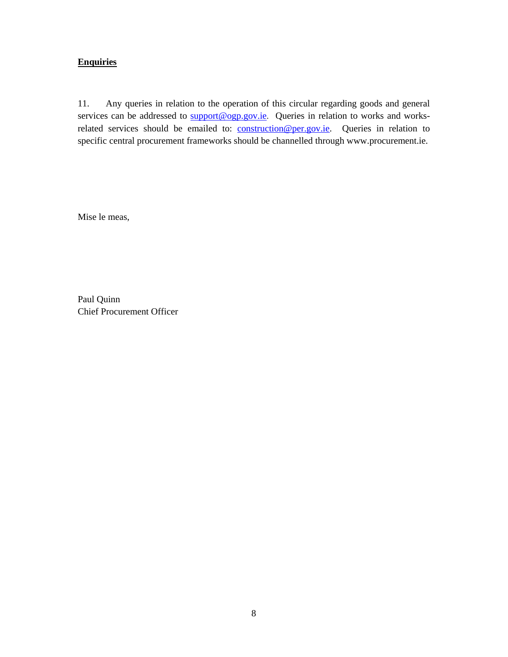## **Enquiries**

11. Any queries in relation to the operation of this circular regarding goods and general services can be addressed to  $\frac{\text{support@} \text{ogy.}ie}{\text{query.}ie}$ . Queries in relation to works and worksrelated services should be emailed to: construction@per.gov.ie. Queries in relation to specific central procurement frameworks should be channelled through www.procurement.ie.

Mise le meas,

Paul Quinn Chief Procurement Officer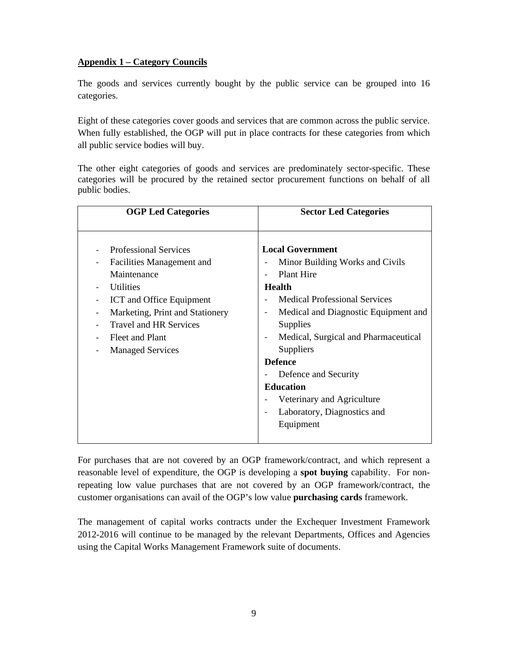## **Appendix 1 – Category Councils**

The goods and services currently bought by the public service can be grouped into 16 categories.

Eight of these categories cover goods and services that are common across the public service. When fully established, the OGP will put in place contracts for these categories from which all public service bodies will buy.

The other eight categories of goods and services are predominately sector-specific. These categories will be procured by the retained sector procurement functions on behalf of all public bodies.

| <b>OGP Led Categories</b>                                                                                                                                                                                                                  | <b>Sector Led Categories</b>                                                                                                                                                                                                                                                                                                                                                                     |
|--------------------------------------------------------------------------------------------------------------------------------------------------------------------------------------------------------------------------------------------|--------------------------------------------------------------------------------------------------------------------------------------------------------------------------------------------------------------------------------------------------------------------------------------------------------------------------------------------------------------------------------------------------|
| <b>Professional Services</b><br>Facilities Management and<br>Maintenance<br><b>Utilities</b><br>ICT and Office Equipment<br>Marketing, Print and Stationery<br><b>Travel and HR Services</b><br>Fleet and Plant<br><b>Managed Services</b> | <b>Local Government</b><br>Minor Building Works and Civils<br><b>Plant Hire</b><br><b>Health</b><br><b>Medical Professional Services</b><br>Medical and Diagnostic Equipment and<br>Supplies<br>Medical, Surgical and Pharmaceutical<br><b>Suppliers</b><br><b>Defence</b><br>Defence and Security<br><b>Education</b><br>Veterinary and Agriculture<br>Laboratory, Diagnostics and<br>Equipment |

For purchases that are not covered by an OGP framework/contract, and which represent a reasonable level of expenditure, the OGP is developing a **spot buying** capability. For nonrepeating low value purchases that are not covered by an OGP framework/contract, the customer organisations can avail of the OGP's low value **purchasing cards** framework.

The management of capital works contracts under the Exchequer Investment Framework 2012-2016 will continue to be managed by the relevant Departments, Offices and Agencies using the Capital Works Management Framework suite of documents.